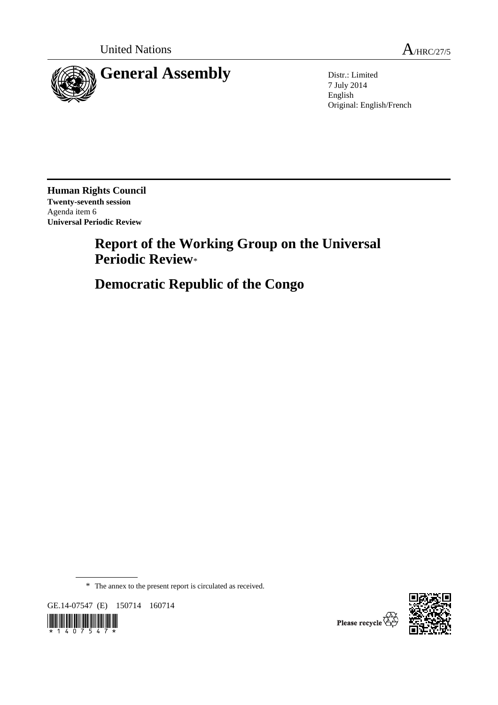

7 July 2014 English Original: English/French

**Human Rights Council Twenty-seventh session**  Agenda item 6 **Universal Periodic Review** 

# **Report of the Working Group on the Universal Periodic Review**\*

 **Democratic Republic of the Congo** 

\* The annex to the present report is circulated as received.

GE.14-07547 (E) 150714 160714





Please recycle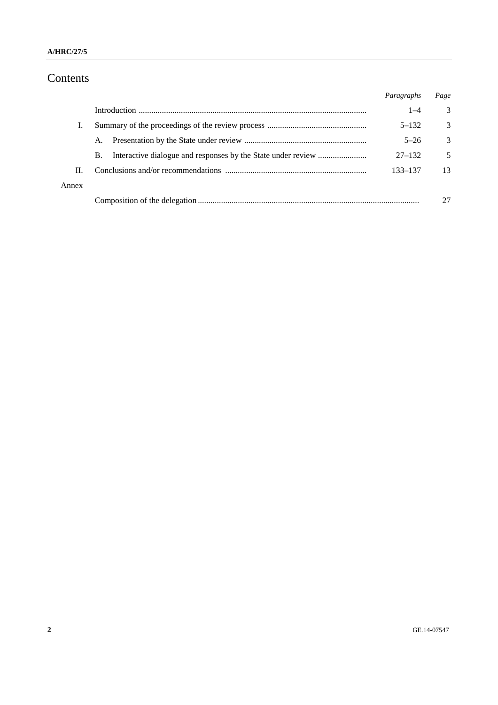# Contents

|       |    | Paragraphs | Page          |
|-------|----|------------|---------------|
|       |    | $1 - 4$    | 3             |
| L.    |    | $5 - 132$  | 3             |
|       | A. | $5 - 26$   | $\mathcal{E}$ |
|       | В. | $27 - 132$ | 5             |
| H.    |    | 133–137    | 13            |
| Annex |    |            |               |
|       |    |            |               |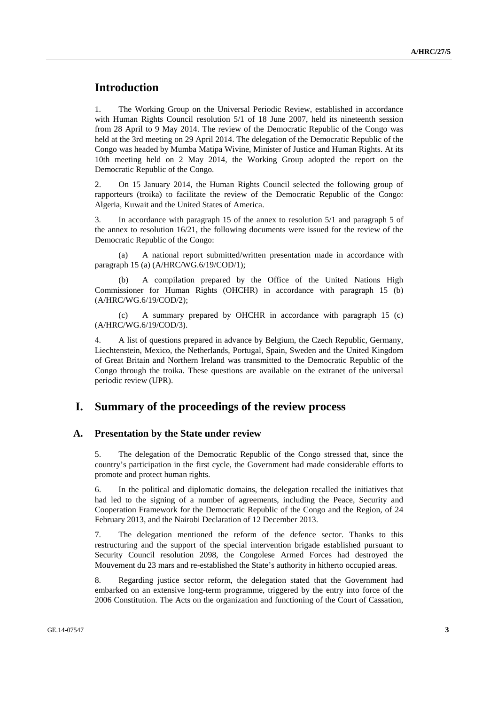# **Introduction**

1. The Working Group on the Universal Periodic Review, established in accordance with Human Rights Council resolution 5/1 of 18 June 2007, held its nineteenth session from 28 April to 9 May 2014. The review of the Democratic Republic of the Congo was held at the 3rd meeting on 29 April 2014. The delegation of the Democratic Republic of the Congo was headed by Mumba Matipa Wivine, Minister of Justice and Human Rights. At its 10th meeting held on 2 May 2014, the Working Group adopted the report on the Democratic Republic of the Congo.

2. On 15 January 2014, the Human Rights Council selected the following group of rapporteurs (troika) to facilitate the review of the Democratic Republic of the Congo: Algeria, Kuwait and the United States of America.

3. In accordance with paragraph 15 of the annex to resolution 5/1 and paragraph 5 of the annex to resolution 16/21, the following documents were issued for the review of the Democratic Republic of the Congo:

 (a) A national report submitted/written presentation made in accordance with paragraph 15 (a) (A/HRC/WG.6/19/COD/1);

A compilation prepared by the Office of the United Nations High Commissioner for Human Rights (OHCHR) in accordance with paragraph 15 (b) (A/HRC/WG.6/19/COD/2);

 (c) A summary prepared by OHCHR in accordance with paragraph 15 (c) (A/HRC/WG.6/19/COD/3).

4. A list of questions prepared in advance by Belgium, the Czech Republic, Germany, Liechtenstein, Mexico, the Netherlands, Portugal, Spain, Sweden and the United Kingdom of Great Britain and Northern Ireland was transmitted to the Democratic Republic of the Congo through the troika. These questions are available on the extranet of the universal periodic review (UPR).

### **I. Summary of the proceedings of the review process**

#### **A. Presentation by the State under review**

5. The delegation of the Democratic Republic of the Congo stressed that, since the country's participation in the first cycle, the Government had made considerable efforts to promote and protect human rights.

6. In the political and diplomatic domains, the delegation recalled the initiatives that had led to the signing of a number of agreements, including the Peace, Security and Cooperation Framework for the Democratic Republic of the Congo and the Region, of 24 February 2013, and the Nairobi Declaration of 12 December 2013.

7. The delegation mentioned the reform of the defence sector. Thanks to this restructuring and the support of the special intervention brigade established pursuant to Security Council resolution 2098, the Congolese Armed Forces had destroyed the Mouvement du 23 mars and re-established the State's authority in hitherto occupied areas.

8. Regarding justice sector reform, the delegation stated that the Government had embarked on an extensive long-term programme, triggered by the entry into force of the 2006 Constitution. The Acts on the organization and functioning of the Court of Cassation,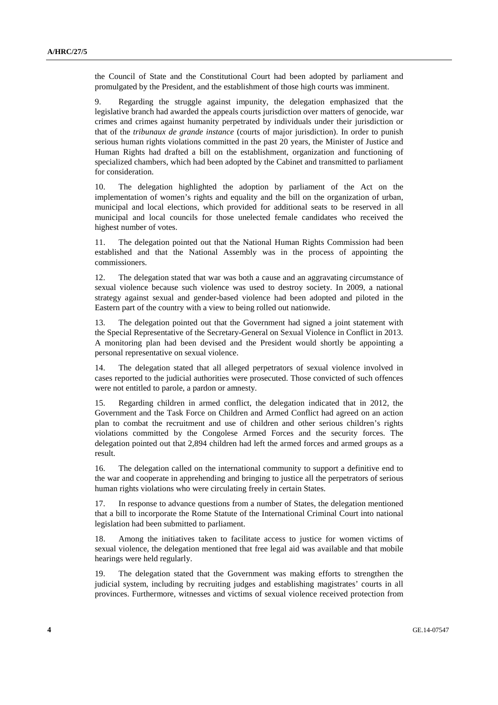the Council of State and the Constitutional Court had been adopted by parliament and promulgated by the President, and the establishment of those high courts was imminent.

9. Regarding the struggle against impunity, the delegation emphasized that the legislative branch had awarded the appeals courts jurisdiction over matters of genocide, war crimes and crimes against humanity perpetrated by individuals under their jurisdiction or that of the *tribunaux de grande instance* (courts of major jurisdiction). In order to punish serious human rights violations committed in the past 20 years, the Minister of Justice and Human Rights had drafted a bill on the establishment, organization and functioning of specialized chambers, which had been adopted by the Cabinet and transmitted to parliament for consideration.

10. The delegation highlighted the adoption by parliament of the Act on the implementation of women's rights and equality and the bill on the organization of urban, municipal and local elections, which provided for additional seats to be reserved in all municipal and local councils for those unelected female candidates who received the highest number of votes.

The delegation pointed out that the National Human Rights Commission had been established and that the National Assembly was in the process of appointing the commissioners.

12. The delegation stated that war was both a cause and an aggravating circumstance of sexual violence because such violence was used to destroy society. In 2009, a national strategy against sexual and gender-based violence had been adopted and piloted in the Eastern part of the country with a view to being rolled out nationwide.

13. The delegation pointed out that the Government had signed a joint statement with the Special Representative of the Secretary-General on Sexual Violence in Conflict in 2013. A monitoring plan had been devised and the President would shortly be appointing a personal representative on sexual violence.

14. The delegation stated that all alleged perpetrators of sexual violence involved in cases reported to the judicial authorities were prosecuted. Those convicted of such offences were not entitled to parole, a pardon or amnesty.

15. Regarding children in armed conflict, the delegation indicated that in 2012, the Government and the Task Force on Children and Armed Conflict had agreed on an action plan to combat the recruitment and use of children and other serious children's rights violations committed by the Congolese Armed Forces and the security forces. The delegation pointed out that 2,894 children had left the armed forces and armed groups as a result.

16. The delegation called on the international community to support a definitive end to the war and cooperate in apprehending and bringing to justice all the perpetrators of serious human rights violations who were circulating freely in certain States.

17. In response to advance questions from a number of States, the delegation mentioned that a bill to incorporate the Rome Statute of the International Criminal Court into national legislation had been submitted to parliament.

18. Among the initiatives taken to facilitate access to justice for women victims of sexual violence, the delegation mentioned that free legal aid was available and that mobile hearings were held regularly.

19. The delegation stated that the Government was making efforts to strengthen the judicial system, including by recruiting judges and establishing magistrates' courts in all provinces. Furthermore, witnesses and victims of sexual violence received protection from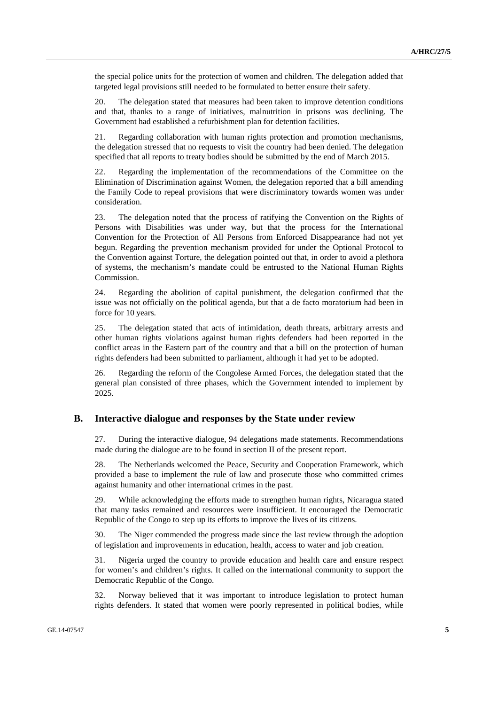the special police units for the protection of women and children. The delegation added that targeted legal provisions still needed to be formulated to better ensure their safety.

20. The delegation stated that measures had been taken to improve detention conditions and that, thanks to a range of initiatives, malnutrition in prisons was declining. The Government had established a refurbishment plan for detention facilities.

21. Regarding collaboration with human rights protection and promotion mechanisms, the delegation stressed that no requests to visit the country had been denied. The delegation specified that all reports to treaty bodies should be submitted by the end of March 2015.

22. Regarding the implementation of the recommendations of the Committee on the Elimination of Discrimination against Women, the delegation reported that a bill amending the Family Code to repeal provisions that were discriminatory towards women was under consideration.

23. The delegation noted that the process of ratifying the Convention on the Rights of Persons with Disabilities was under way, but that the process for the International Convention for the Protection of All Persons from Enforced Disappearance had not yet begun. Regarding the prevention mechanism provided for under the Optional Protocol to the Convention against Torture, the delegation pointed out that, in order to avoid a plethora of systems, the mechanism's mandate could be entrusted to the National Human Rights Commission.

24. Regarding the abolition of capital punishment, the delegation confirmed that the issue was not officially on the political agenda, but that a de facto moratorium had been in force for 10 years.

25. The delegation stated that acts of intimidation, death threats, arbitrary arrests and other human rights violations against human rights defenders had been reported in the conflict areas in the Eastern part of the country and that a bill on the protection of human rights defenders had been submitted to parliament, although it had yet to be adopted.

26. Regarding the reform of the Congolese Armed Forces, the delegation stated that the general plan consisted of three phases, which the Government intended to implement by 2025.

#### **B. Interactive dialogue and responses by the State under review**

27. During the interactive dialogue, 94 delegations made statements. Recommendations made during the dialogue are to be found in section II of the present report.

28. The Netherlands welcomed the Peace, Security and Cooperation Framework, which provided a base to implement the rule of law and prosecute those who committed crimes against humanity and other international crimes in the past.

29. While acknowledging the efforts made to strengthen human rights, Nicaragua stated that many tasks remained and resources were insufficient. It encouraged the Democratic Republic of the Congo to step up its efforts to improve the lives of its citizens.

30. The Niger commended the progress made since the last review through the adoption of legislation and improvements in education, health, access to water and job creation.

31. Nigeria urged the country to provide education and health care and ensure respect for women's and children's rights. It called on the international community to support the Democratic Republic of the Congo.

32. Norway believed that it was important to introduce legislation to protect human rights defenders. It stated that women were poorly represented in political bodies, while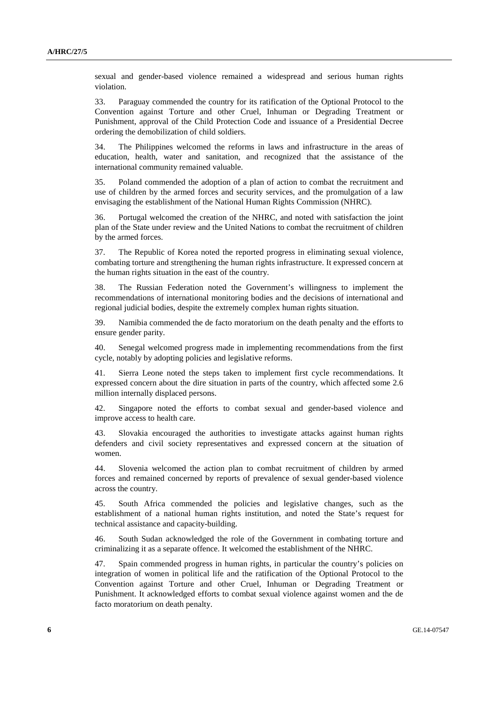sexual and gender-based violence remained a widespread and serious human rights violation.

33. Paraguay commended the country for its ratification of the Optional Protocol to the Convention against Torture and other Cruel, Inhuman or Degrading Treatment or Punishment, approval of the Child Protection Code and issuance of a Presidential Decree ordering the demobilization of child soldiers.

34. The Philippines welcomed the reforms in laws and infrastructure in the areas of education, health, water and sanitation, and recognized that the assistance of the international community remained valuable.

35. Poland commended the adoption of a plan of action to combat the recruitment and use of children by the armed forces and security services, and the promulgation of a law envisaging the establishment of the National Human Rights Commission (NHRC).

36. Portugal welcomed the creation of the NHRC, and noted with satisfaction the joint plan of the State under review and the United Nations to combat the recruitment of children by the armed forces.

37. The Republic of Korea noted the reported progress in eliminating sexual violence, combating torture and strengthening the human rights infrastructure. It expressed concern at the human rights situation in the east of the country.

38. The Russian Federation noted the Government's willingness to implement the recommendations of international monitoring bodies and the decisions of international and regional judicial bodies, despite the extremely complex human rights situation.

39. Namibia commended the de facto moratorium on the death penalty and the efforts to ensure gender parity.

40. Senegal welcomed progress made in implementing recommendations from the first cycle, notably by adopting policies and legislative reforms.

41. Sierra Leone noted the steps taken to implement first cycle recommendations. It expressed concern about the dire situation in parts of the country, which affected some 2.6 million internally displaced persons.

42. Singapore noted the efforts to combat sexual and gender-based violence and improve access to health care.

43. Slovakia encouraged the authorities to investigate attacks against human rights defenders and civil society representatives and expressed concern at the situation of women.

44. Slovenia welcomed the action plan to combat recruitment of children by armed forces and remained concerned by reports of prevalence of sexual gender-based violence across the country.

45. South Africa commended the policies and legislative changes, such as the establishment of a national human rights institution, and noted the State's request for technical assistance and capacity-building.

46. South Sudan acknowledged the role of the Government in combating torture and criminalizing it as a separate offence. It welcomed the establishment of the NHRC.

47. Spain commended progress in human rights, in particular the country's policies on integration of women in political life and the ratification of the Optional Protocol to the Convention against Torture and other Cruel, Inhuman or Degrading Treatment or Punishment. It acknowledged efforts to combat sexual violence against women and the de facto moratorium on death penalty.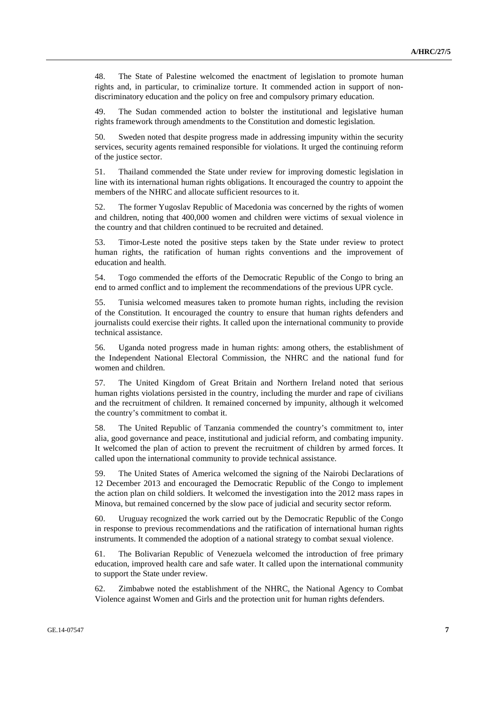48. The State of Palestine welcomed the enactment of legislation to promote human rights and, in particular, to criminalize torture. It commended action in support of nondiscriminatory education and the policy on free and compulsory primary education.

49. The Sudan commended action to bolster the institutional and legislative human rights framework through amendments to the Constitution and domestic legislation.

50. Sweden noted that despite progress made in addressing impunity within the security services, security agents remained responsible for violations. It urged the continuing reform of the justice sector.

51. Thailand commended the State under review for improving domestic legislation in line with its international human rights obligations. It encouraged the country to appoint the members of the NHRC and allocate sufficient resources to it.

52. The former Yugoslav Republic of Macedonia was concerned by the rights of women and children, noting that 400,000 women and children were victims of sexual violence in the country and that children continued to be recruited and detained.

53. Timor-Leste noted the positive steps taken by the State under review to protect human rights, the ratification of human rights conventions and the improvement of education and health.

54. Togo commended the efforts of the Democratic Republic of the Congo to bring an end to armed conflict and to implement the recommendations of the previous UPR cycle.

55. Tunisia welcomed measures taken to promote human rights, including the revision of the Constitution. It encouraged the country to ensure that human rights defenders and journalists could exercise their rights. It called upon the international community to provide technical assistance.

56. Uganda noted progress made in human rights: among others, the establishment of the Independent National Electoral Commission, the NHRC and the national fund for women and children.

57. The United Kingdom of Great Britain and Northern Ireland noted that serious human rights violations persisted in the country, including the murder and rape of civilians and the recruitment of children. It remained concerned by impunity, although it welcomed the country's commitment to combat it.

58. The United Republic of Tanzania commended the country's commitment to, inter alia, good governance and peace, institutional and judicial reform, and combating impunity. It welcomed the plan of action to prevent the recruitment of children by armed forces. It called upon the international community to provide technical assistance.

59. The United States of America welcomed the signing of the Nairobi Declarations of 12 December 2013 and encouraged the Democratic Republic of the Congo to implement the action plan on child soldiers. It welcomed the investigation into the 2012 mass rapes in Minova, but remained concerned by the slow pace of judicial and security sector reform.

60. Uruguay recognized the work carried out by the Democratic Republic of the Congo in response to previous recommendations and the ratification of international human rights instruments. It commended the adoption of a national strategy to combat sexual violence.

61. The Bolivarian Republic of Venezuela welcomed the introduction of free primary education, improved health care and safe water. It called upon the international community to support the State under review.

62. Zimbabwe noted the establishment of the NHRC, the National Agency to Combat Violence against Women and Girls and the protection unit for human rights defenders.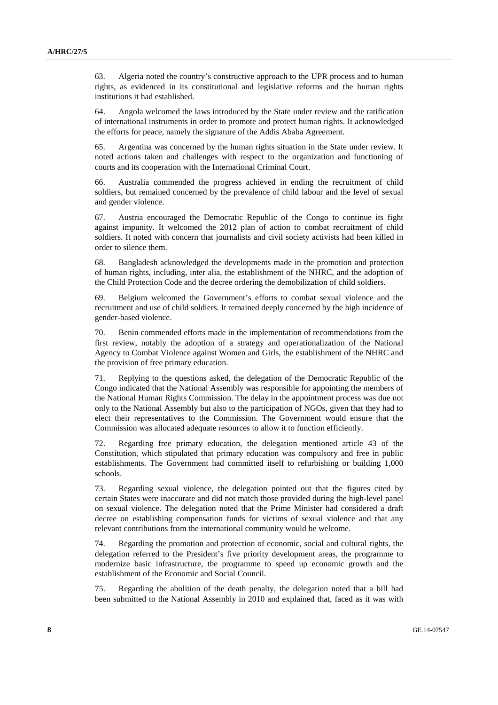63. Algeria noted the country's constructive approach to the UPR process and to human rights, as evidenced in its constitutional and legislative reforms and the human rights institutions it had established.

64. Angola welcomed the laws introduced by the State under review and the ratification of international instruments in order to promote and protect human rights. It acknowledged the efforts for peace, namely the signature of the Addis Ababa Agreement.

65. Argentina was concerned by the human rights situation in the State under review. It noted actions taken and challenges with respect to the organization and functioning of courts and its cooperation with the International Criminal Court.

66. Australia commended the progress achieved in ending the recruitment of child soldiers, but remained concerned by the prevalence of child labour and the level of sexual and gender violence.

67. Austria encouraged the Democratic Republic of the Congo to continue its fight against impunity. It welcomed the 2012 plan of action to combat recruitment of child soldiers. It noted with concern that journalists and civil society activists had been killed in order to silence them.

68. Bangladesh acknowledged the developments made in the promotion and protection of human rights, including, inter alia, the establishment of the NHRC, and the adoption of the Child Protection Code and the decree ordering the demobilization of child soldiers.

69. Belgium welcomed the Government's efforts to combat sexual violence and the recruitment and use of child soldiers. It remained deeply concerned by the high incidence of gender-based violence.

70. Benin commended efforts made in the implementation of recommendations from the first review, notably the adoption of a strategy and operationalization of the National Agency to Combat Violence against Women and Girls, the establishment of the NHRC and the provision of free primary education.

71. Replying to the questions asked, the delegation of the Democratic Republic of the Congo indicated that the National Assembly was responsible for appointing the members of the National Human Rights Commission. The delay in the appointment process was due not only to the National Assembly but also to the participation of NGOs, given that they had to elect their representatives to the Commission. The Government would ensure that the Commission was allocated adequate resources to allow it to function efficiently.

72. Regarding free primary education, the delegation mentioned article 43 of the Constitution, which stipulated that primary education was compulsory and free in public establishments. The Government had committed itself to refurbishing or building 1,000 schools.

73. Regarding sexual violence, the delegation pointed out that the figures cited by certain States were inaccurate and did not match those provided during the high-level panel on sexual violence. The delegation noted that the Prime Minister had considered a draft decree on establishing compensation funds for victims of sexual violence and that any relevant contributions from the international community would be welcome.

74. Regarding the promotion and protection of economic, social and cultural rights, the delegation referred to the President's five priority development areas, the programme to modernize basic infrastructure, the programme to speed up economic growth and the establishment of the Economic and Social Council.

75. Regarding the abolition of the death penalty, the delegation noted that a bill had been submitted to the National Assembly in 2010 and explained that, faced as it was with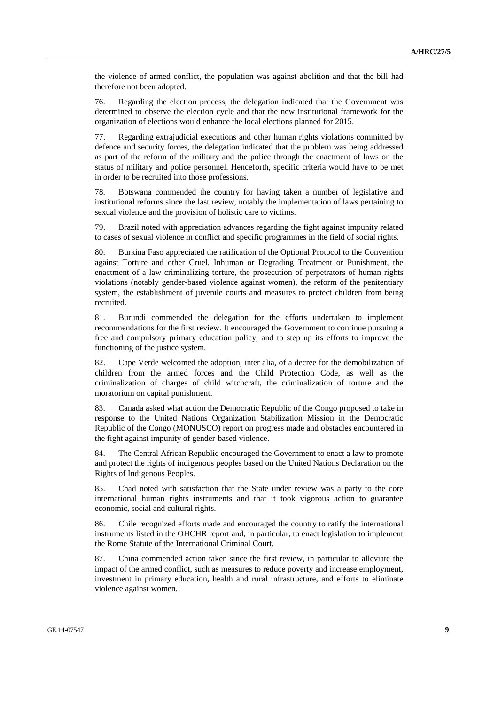the violence of armed conflict, the population was against abolition and that the bill had therefore not been adopted.

76. Regarding the election process, the delegation indicated that the Government was determined to observe the election cycle and that the new institutional framework for the organization of elections would enhance the local elections planned for 2015.

77. Regarding extrajudicial executions and other human rights violations committed by defence and security forces, the delegation indicated that the problem was being addressed as part of the reform of the military and the police through the enactment of laws on the status of military and police personnel. Henceforth, specific criteria would have to be met in order to be recruited into those professions.

78. Botswana commended the country for having taken a number of legislative and institutional reforms since the last review, notably the implementation of laws pertaining to sexual violence and the provision of holistic care to victims.

79. Brazil noted with appreciation advances regarding the fight against impunity related to cases of sexual violence in conflict and specific programmes in the field of social rights.

80. Burkina Faso appreciated the ratification of the Optional Protocol to the Convention against Torture and other Cruel, Inhuman or Degrading Treatment or Punishment, the enactment of a law criminalizing torture, the prosecution of perpetrators of human rights violations (notably gender-based violence against women), the reform of the penitentiary system, the establishment of juvenile courts and measures to protect children from being recruited.

81. Burundi commended the delegation for the efforts undertaken to implement recommendations for the first review. It encouraged the Government to continue pursuing a free and compulsory primary education policy, and to step up its efforts to improve the functioning of the justice system.

82. Cape Verde welcomed the adoption, inter alia, of a decree for the demobilization of children from the armed forces and the Child Protection Code, as well as the criminalization of charges of child witchcraft, the criminalization of torture and the moratorium on capital punishment.

83. Canada asked what action the Democratic Republic of the Congo proposed to take in response to the United Nations Organization Stabilization Mission in the Democratic Republic of the Congo (MONUSCO) report on progress made and obstacles encountered in the fight against impunity of gender-based violence.

84. The Central African Republic encouraged the Government to enact a law to promote and protect the rights of indigenous peoples based on the United Nations Declaration on the Rights of Indigenous Peoples.

85. Chad noted with satisfaction that the State under review was a party to the core international human rights instruments and that it took vigorous action to guarantee economic, social and cultural rights.

86. Chile recognized efforts made and encouraged the country to ratify the international instruments listed in the OHCHR report and, in particular, to enact legislation to implement the Rome Statute of the International Criminal Court.

87. China commended action taken since the first review, in particular to alleviate the impact of the armed conflict, such as measures to reduce poverty and increase employment, investment in primary education, health and rural infrastructure, and efforts to eliminate violence against women.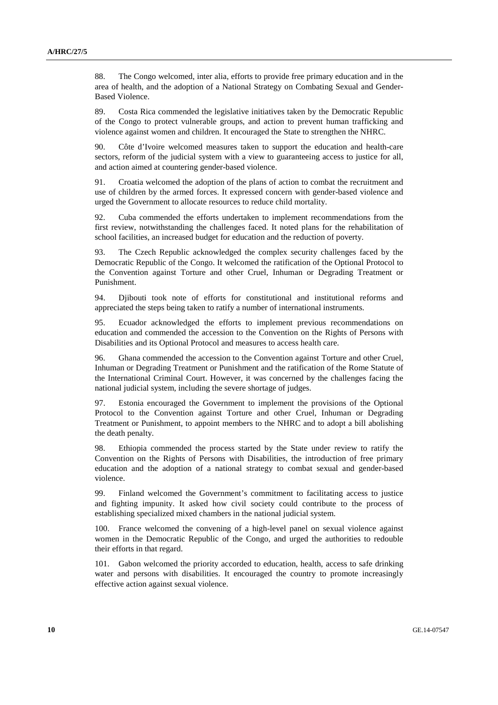88. The Congo welcomed, inter alia, efforts to provide free primary education and in the area of health, and the adoption of a National Strategy on Combating Sexual and Gender-Based Violence.

89. Costa Rica commended the legislative initiatives taken by the Democratic Republic of the Congo to protect vulnerable groups, and action to prevent human trafficking and violence against women and children. It encouraged the State to strengthen the NHRC.

90. Côte d'Ivoire welcomed measures taken to support the education and health-care sectors, reform of the judicial system with a view to guaranteeing access to justice for all, and action aimed at countering gender-based violence.

91. Croatia welcomed the adoption of the plans of action to combat the recruitment and use of children by the armed forces. It expressed concern with gender-based violence and urged the Government to allocate resources to reduce child mortality.

92. Cuba commended the efforts undertaken to implement recommendations from the first review, notwithstanding the challenges faced. It noted plans for the rehabilitation of school facilities, an increased budget for education and the reduction of poverty.

93. The Czech Republic acknowledged the complex security challenges faced by the Democratic Republic of the Congo. It welcomed the ratification of the Optional Protocol to the Convention against Torture and other Cruel, Inhuman or Degrading Treatment or Punishment.

94. Djibouti took note of efforts for constitutional and institutional reforms and appreciated the steps being taken to ratify a number of international instruments.

95. Ecuador acknowledged the efforts to implement previous recommendations on education and commended the accession to the Convention on the Rights of Persons with Disabilities and its Optional Protocol and measures to access health care.

96. Ghana commended the accession to the Convention against Torture and other Cruel, Inhuman or Degrading Treatment or Punishment and the ratification of the Rome Statute of the International Criminal Court. However, it was concerned by the challenges facing the national judicial system, including the severe shortage of judges.

97. Estonia encouraged the Government to implement the provisions of the Optional Protocol to the Convention against Torture and other Cruel, Inhuman or Degrading Treatment or Punishment, to appoint members to the NHRC and to adopt a bill abolishing the death penalty.

98. Ethiopia commended the process started by the State under review to ratify the Convention on the Rights of Persons with Disabilities, the introduction of free primary education and the adoption of a national strategy to combat sexual and gender-based violence.

99. Finland welcomed the Government's commitment to facilitating access to justice and fighting impunity. It asked how civil society could contribute to the process of establishing specialized mixed chambers in the national judicial system.

100. France welcomed the convening of a high-level panel on sexual violence against women in the Democratic Republic of the Congo, and urged the authorities to redouble their efforts in that regard.

101. Gabon welcomed the priority accorded to education, health, access to safe drinking water and persons with disabilities. It encouraged the country to promote increasingly effective action against sexual violence.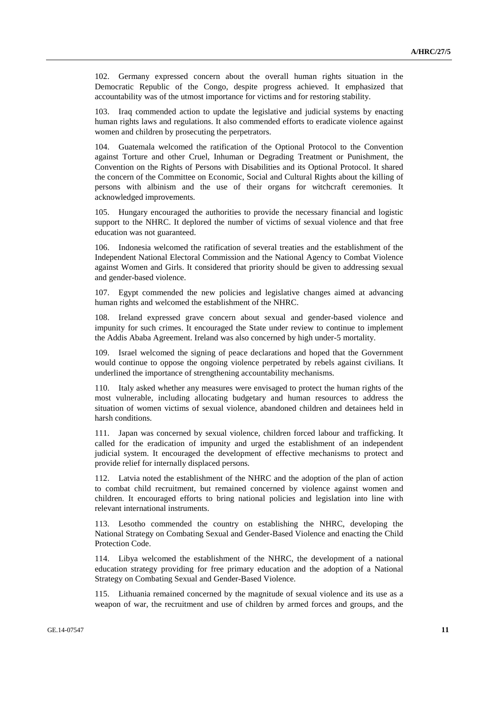102. Germany expressed concern about the overall human rights situation in the Democratic Republic of the Congo, despite progress achieved. It emphasized that accountability was of the utmost importance for victims and for restoring stability.

103. Iraq commended action to update the legislative and judicial systems by enacting human rights laws and regulations. It also commended efforts to eradicate violence against women and children by prosecuting the perpetrators.

104. Guatemala welcomed the ratification of the Optional Protocol to the Convention against Torture and other Cruel, Inhuman or Degrading Treatment or Punishment, the Convention on the Rights of Persons with Disabilities and its Optional Protocol. It shared the concern of the Committee on Economic, Social and Cultural Rights about the killing of persons with albinism and the use of their organs for witchcraft ceremonies. It acknowledged improvements.

105. Hungary encouraged the authorities to provide the necessary financial and logistic support to the NHRC. It deplored the number of victims of sexual violence and that free education was not guaranteed.

106. Indonesia welcomed the ratification of several treaties and the establishment of the Independent National Electoral Commission and the National Agency to Combat Violence against Women and Girls. It considered that priority should be given to addressing sexual and gender-based violence.

107. Egypt commended the new policies and legislative changes aimed at advancing human rights and welcomed the establishment of the NHRC.

108. Ireland expressed grave concern about sexual and gender-based violence and impunity for such crimes. It encouraged the State under review to continue to implement the Addis Ababa Agreement. Ireland was also concerned by high under-5 mortality.

109. Israel welcomed the signing of peace declarations and hoped that the Government would continue to oppose the ongoing violence perpetrated by rebels against civilians. It underlined the importance of strengthening accountability mechanisms.

110. Italy asked whether any measures were envisaged to protect the human rights of the most vulnerable, including allocating budgetary and human resources to address the situation of women victims of sexual violence, abandoned children and detainees held in harsh conditions.

111. Japan was concerned by sexual violence, children forced labour and trafficking. It called for the eradication of impunity and urged the establishment of an independent judicial system. It encouraged the development of effective mechanisms to protect and provide relief for internally displaced persons.

112. Latvia noted the establishment of the NHRC and the adoption of the plan of action to combat child recruitment, but remained concerned by violence against women and children. It encouraged efforts to bring national policies and legislation into line with relevant international instruments.

113. Lesotho commended the country on establishing the NHRC, developing the National Strategy on Combating Sexual and Gender-Based Violence and enacting the Child Protection Code.

114. Libya welcomed the establishment of the NHRC, the development of a national education strategy providing for free primary education and the adoption of a National Strategy on Combating Sexual and Gender-Based Violence.

115. Lithuania remained concerned by the magnitude of sexual violence and its use as a weapon of war, the recruitment and use of children by armed forces and groups, and the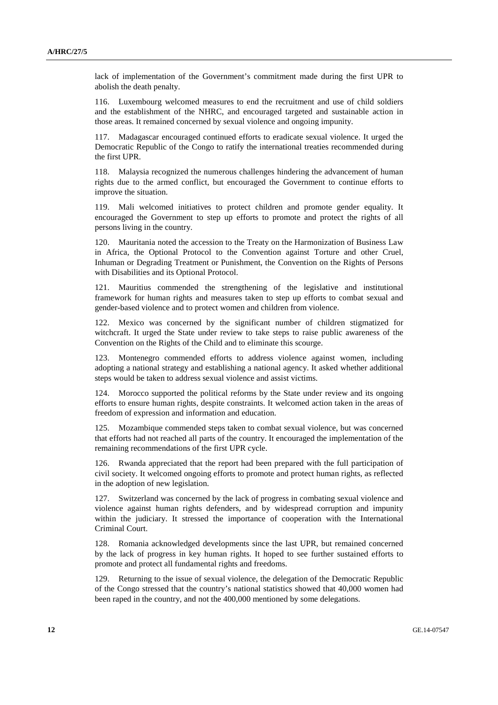lack of implementation of the Government's commitment made during the first UPR to abolish the death penalty.

116. Luxembourg welcomed measures to end the recruitment and use of child soldiers and the establishment of the NHRC, and encouraged targeted and sustainable action in those areas. It remained concerned by sexual violence and ongoing impunity.

117. Madagascar encouraged continued efforts to eradicate sexual violence. It urged the Democratic Republic of the Congo to ratify the international treaties recommended during the first UPR.

118. Malaysia recognized the numerous challenges hindering the advancement of human rights due to the armed conflict, but encouraged the Government to continue efforts to improve the situation.

119. Mali welcomed initiatives to protect children and promote gender equality. It encouraged the Government to step up efforts to promote and protect the rights of all persons living in the country.

120. Mauritania noted the accession to the Treaty on the Harmonization of Business Law in Africa, the Optional Protocol to the Convention against Torture and other Cruel, Inhuman or Degrading Treatment or Punishment, the Convention on the Rights of Persons with Disabilities and its Optional Protocol.

121. Mauritius commended the strengthening of the legislative and institutional framework for human rights and measures taken to step up efforts to combat sexual and gender-based violence and to protect women and children from violence.

122. Mexico was concerned by the significant number of children stigmatized for witchcraft. It urged the State under review to take steps to raise public awareness of the Convention on the Rights of the Child and to eliminate this scourge.

123. Montenegro commended efforts to address violence against women, including adopting a national strategy and establishing a national agency. It asked whether additional steps would be taken to address sexual violence and assist victims.

124. Morocco supported the political reforms by the State under review and its ongoing efforts to ensure human rights, despite constraints. It welcomed action taken in the areas of freedom of expression and information and education.

125. Mozambique commended steps taken to combat sexual violence, but was concerned that efforts had not reached all parts of the country. It encouraged the implementation of the remaining recommendations of the first UPR cycle.

126. Rwanda appreciated that the report had been prepared with the full participation of civil society. It welcomed ongoing efforts to promote and protect human rights, as reflected in the adoption of new legislation.

127. Switzerland was concerned by the lack of progress in combating sexual violence and violence against human rights defenders, and by widespread corruption and impunity within the judiciary. It stressed the importance of cooperation with the International Criminal Court.

128. Romania acknowledged developments since the last UPR, but remained concerned by the lack of progress in key human rights. It hoped to see further sustained efforts to promote and protect all fundamental rights and freedoms.

129. Returning to the issue of sexual violence, the delegation of the Democratic Republic of the Congo stressed that the country's national statistics showed that 40,000 women had been raped in the country, and not the 400,000 mentioned by some delegations.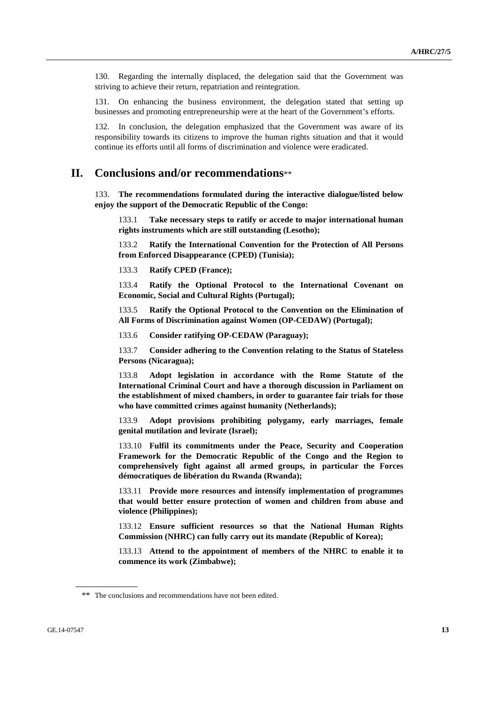130. Regarding the internally displaced, the delegation said that the Government was striving to achieve their return, repatriation and reintegration.

131. On enhancing the business environment, the delegation stated that setting up businesses and promoting entrepreneurship were at the heart of the Government's efforts.

132. In conclusion, the delegation emphasized that the Government was aware of its responsibility towards its citizens to improve the human rights situation and that it would continue its efforts until all forms of discrimination and violence were eradicated.

## **II. Conclusions and/or recommendations**\*\*

133. **The recommendations formulated during the interactive dialogue/listed below enjoy the support of the Democratic Republic of the Congo:**

133.1 **Take necessary steps to ratify or accede to major international human rights instruments which are still outstanding (Lesotho);**

133.2 **Ratify the International Convention for the Protection of All Persons from Enforced Disappearance (CPED) (Tunisia);**

133.3 **Ratify CPED (France);**

133.4 **Ratify the Optional Protocol to the International Covenant on Economic, Social and Cultural Rights (Portugal);**

133.5 **Ratify the Optional Protocol to the Convention on the Elimination of All Forms of Discrimination against Women (OP-CEDAW) (Portugal);**

133.6 **Consider ratifying OP-CEDAW (Paraguay);**

133.7 **Consider adhering to the Convention relating to the Status of Stateless Persons (Nicaragua);**

133.8 **Adopt legislation in accordance with the Rome Statute of the International Criminal Court and have a thorough discussion in Parliament on the establishment of mixed chambers, in order to guarantee fair trials for those who have committed crimes against humanity (Netherlands);**

133.9 **Adopt provisions prohibiting polygamy, early marriages, female genital mutilation and levirate (Israel);**

133.10 **Fulfil its commitments under the Peace, Security and Cooperation Framework for the Democratic Republic of the Congo and the Region to comprehensively fight against all armed groups, in particular the Forces démocratiques de libération du Rwanda (Rwanda);**

133.11 **Provide more resources and intensify implementation of programmes that would better ensure protection of women and children from abuse and violence (Philippines);**

133.12 **Ensure sufficient resources so that the National Human Rights Commission (NHRC) can fully carry out its mandate (Republic of Korea);** 

133.13 **Attend to the appointment of members of the NHRC to enable it to commence its work (Zimbabwe);** 

<sup>\*\*</sup> The conclusions and recommendations have not been edited.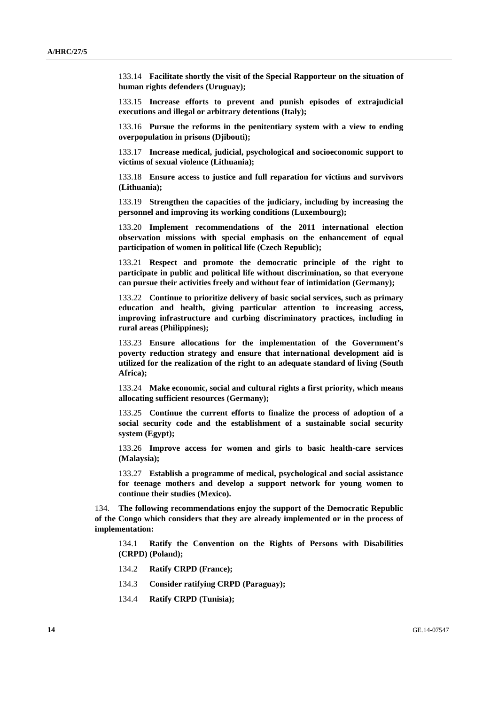133.14 **Facilitate shortly the visit of the Special Rapporteur on the situation of human rights defenders (Uruguay);**

133.15 **Increase efforts to prevent and punish episodes of extrajudicial executions and illegal or arbitrary detentions (Italy);**

133.16 **Pursue the reforms in the penitentiary system with a view to ending overpopulation in prisons (Djibouti);**

133.17 **Increase medical, judicial, psychological and socioeconomic support to victims of sexual violence (Lithuania);**

133.18 **Ensure access to justice and full reparation for victims and survivors (Lithuania);**

133.19 **Strengthen the capacities of the judiciary, including by increasing the personnel and improving its working conditions (Luxembourg);**

133.20 **Implement recommendations of the 2011 international election observation missions with special emphasis on the enhancement of equal participation of women in political life (Czech Republic);**

133.21 **Respect and promote the democratic principle of the right to participate in public and political life without discrimination, so that everyone can pursue their activities freely and without fear of intimidation (Germany);**

133.22 **Continue to prioritize delivery of basic social services, such as primary education and health, giving particular attention to increasing access, improving infrastructure and curbing discriminatory practices, including in rural areas (Philippines);**

133.23 **Ensure allocations for the implementation of the Government's poverty reduction strategy and ensure that international development aid is utilized for the realization of the right to an adequate standard of living (South Africa);**

133.24 **Make economic, social and cultural rights a first priority, which means allocating sufficient resources (Germany);**

133.25 **Continue the current efforts to finalize the process of adoption of a social security code and the establishment of a sustainable social security system (Egypt);**

133.26 **Improve access for women and girls to basic health-care services (Malaysia);** 

133.27 **Establish a programme of medical, psychological and social assistance for teenage mothers and develop a support network for young women to continue their studies (Mexico).**

134. **The following recommendations enjoy the support of the Democratic Republic of the Congo which considers that they are already implemented or in the process of implementation:**

134.1 **Ratify the Convention on the Rights of Persons with Disabilities (CRPD) (Poland);** 

- 134.2 **Ratify CRPD (France);**
- 134.3 **Consider ratifying CRPD (Paraguay);**
- 134.4 **Ratify CRPD (Tunisia);**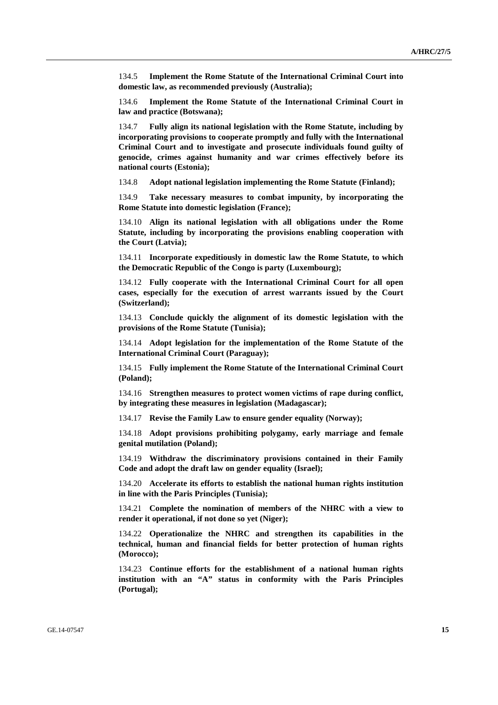134.5 **Implement the Rome Statute of the International Criminal Court into domestic law, as recommended previously (Australia);**

134.6 **Implement the Rome Statute of the International Criminal Court in law and practice (Botswana);**

134.7 **Fully align its national legislation with the Rome Statute, including by incorporating provisions to cooperate promptly and fully with the International Criminal Court and to investigate and prosecute individuals found guilty of genocide, crimes against humanity and war crimes effectively before its national courts (Estonia);**

134.8 **Adopt national legislation implementing the Rome Statute (Finland);**

134.9 **Take necessary measures to combat impunity, by incorporating the Rome Statute into domestic legislation (France);** 

134.10 **Align its national legislation with all obligations under the Rome Statute, including by incorporating the provisions enabling cooperation with the Court (Latvia);** 

134.11 **Incorporate expeditiously in domestic law the Rome Statute, to which the Democratic Republic of the Congo is party (Luxembourg);** 

134.12 **Fully cooperate with the International Criminal Court for all open cases, especially for the execution of arrest warrants issued by the Court (Switzerland);**

134.13 **Conclude quickly the alignment of its domestic legislation with the provisions of the Rome Statute (Tunisia);**

134.14 **Adopt legislation for the implementation of the Rome Statute of the International Criminal Court (Paraguay);**

134.15 **Fully implement the Rome Statute of the International Criminal Court (Poland);**

134.16 **Strengthen measures to protect women victims of rape during conflict, by integrating these measures in legislation (Madagascar);** 

134.17 **Revise the Family Law to ensure gender equality (Norway);**

134.18 **Adopt provisions prohibiting polygamy, early marriage and female genital mutilation (Poland);**

134.19 **Withdraw the discriminatory provisions contained in their Family Code and adopt the draft law on gender equality (Israel);**

134.20 **Accelerate its efforts to establish the national human rights institution in line with the Paris Principles (Tunisia);**

134.21 **Complete the nomination of members of the NHRC with a view to render it operational, if not done so yet (Niger);**

134.22 **Operationalize the NHRC and strengthen its capabilities in the technical, human and financial fields for better protection of human rights (Morocco);** 

134.23 **Continue efforts for the establishment of a national human rights institution with an "A" status in conformity with the Paris Principles (Portugal);**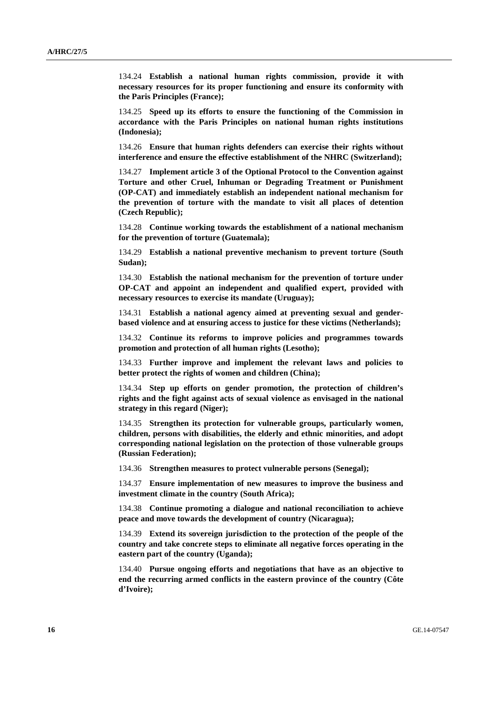134.24 **Establish a national human rights commission, provide it with necessary resources for its proper functioning and ensure its conformity with the Paris Principles (France);**

134.25 **Speed up its efforts to ensure the functioning of the Commission in accordance with the Paris Principles on national human rights institutions (Indonesia);**

134.26 **Ensure that human rights defenders can exercise their rights without interference and ensure the effective establishment of the NHRC (Switzerland);**

134.27 **Implement article 3 of the Optional Protocol to the Convention against Torture and other Cruel, Inhuman or Degrading Treatment or Punishment (OP-CAT) and immediately establish an independent national mechanism for the prevention of torture with the mandate to visit all places of detention (Czech Republic);**

134.28 **Continue working towards the establishment of a national mechanism for the prevention of torture (Guatemala);**

134.29 **Establish a national preventive mechanism to prevent torture (South Sudan);**

134.30 **Establish the national mechanism for the prevention of torture under OP-CAT and appoint an independent and qualified expert, provided with necessary resources to exercise its mandate (Uruguay);**

134.31 **Establish a national agency aimed at preventing sexual and genderbased violence and at ensuring access to justice for these victims (Netherlands);**

134.32 **Continue its reforms to improve policies and programmes towards promotion and protection of all human rights (Lesotho);**

134.33 **Further improve and implement the relevant laws and policies to better protect the rights of women and children (China);**

134.34 **Step up efforts on gender promotion, the protection of children's rights and the fight against acts of sexual violence as envisaged in the national strategy in this regard (Niger);** 

134.35 **Strengthen its protection for vulnerable groups, particularly women, children, persons with disabilities, the elderly and ethnic minorities, and adopt corresponding national legislation on the protection of those vulnerable groups (Russian Federation);**

134.36 **Strengthen measures to protect vulnerable persons (Senegal);**

134.37 **Ensure implementation of new measures to improve the business and investment climate in the country (South Africa);**

134.38 **Continue promoting a dialogue and national reconciliation to achieve peace and move towards the development of country (Nicaragua);**

134.39 **Extend its sovereign jurisdiction to the protection of the people of the country and take concrete steps to eliminate all negative forces operating in the eastern part of the country (Uganda);** 

134.40 **Pursue ongoing efforts and negotiations that have as an objective to end the recurring armed conflicts in the eastern province of the country (Côte d'Ivoire);**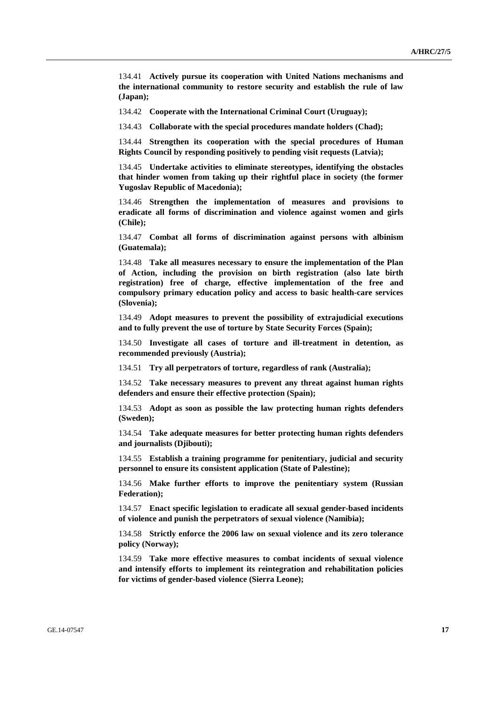134.41 **Actively pursue its cooperation with United Nations mechanisms and the international community to restore security and establish the rule of law (Japan);** 

134.42 **Cooperate with the International Criminal Court (Uruguay);** 

134.43 **Collaborate with the special procedures mandate holders (Chad);** 

134.44 **Strengthen its cooperation with the special procedures of Human Rights Council by responding positively to pending visit requests (Latvia);** 

134.45 **Undertake activities to eliminate stereotypes, identifying the obstacles that hinder women from taking up their rightful place in society (the former Yugoslav Republic of Macedonia);** 

134.46 **Strengthen the implementation of measures and provisions to eradicate all forms of discrimination and violence against women and girls (Chile);**

134.47 **Combat all forms of discrimination against persons with albinism (Guatemala);** 

134.48 **Take all measures necessary to ensure the implementation of the Plan of Action, including the provision on birth registration (also late birth registration) free of charge, effective implementation of the free and compulsory primary education policy and access to basic health-care services (Slovenia);** 

134.49 **Adopt measures to prevent the possibility of extrajudicial executions and to fully prevent the use of torture by State Security Forces (Spain);**

134.50 **Investigate all cases of torture and ill-treatment in detention, as recommended previously (Austria);**

134.51 **Try all perpetrators of torture, regardless of rank (Australia);** 

134.52 **Take necessary measures to prevent any threat against human rights defenders and ensure their effective protection (Spain);** 

134.53 **Adopt as soon as possible the law protecting human rights defenders (Sweden);** 

134.54 **Take adequate measures for better protecting human rights defenders and journalists (Djibouti);**

134.55 **Establish a training programme for penitentiary, judicial and security personnel to ensure its consistent application (State of Palestine);**

134.56 **Make further efforts to improve the penitentiary system (Russian Federation);**

134.57 **Enact specific legislation to eradicate all sexual gender-based incidents of violence and punish the perpetrators of sexual violence (Namibia);** 

134.58 **Strictly enforce the 2006 law on sexual violence and its zero tolerance policy (Norway);** 

134.59 **Take more effective measures to combat incidents of sexual violence and intensify efforts to implement its reintegration and rehabilitation policies for victims of gender-based violence (Sierra Leone);**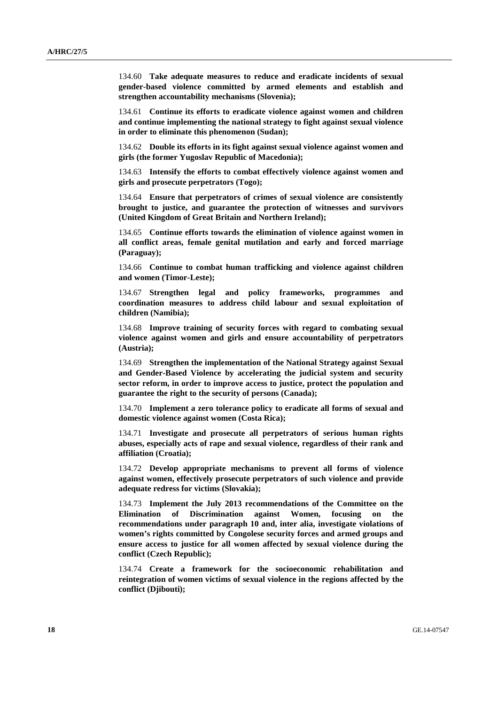134.60 **Take adequate measures to reduce and eradicate incidents of sexual gender-based violence committed by armed elements and establish and strengthen accountability mechanisms (Slovenia);** 

134.61 **Continue its efforts to eradicate violence against women and children and continue implementing the national strategy to fight against sexual violence in order to eliminate this phenomenon (Sudan);** 

134.62 **Double its efforts in its fight against sexual violence against women and girls (the former Yugoslav Republic of Macedonia);** 

134.63 **Intensify the efforts to combat effectively violence against women and girls and prosecute perpetrators (Togo);** 

134.64 **Ensure that perpetrators of crimes of sexual violence are consistently brought to justice, and guarantee the protection of witnesses and survivors (United Kingdom of Great Britain and Northern Ireland);** 

134.65 **Continue efforts towards the elimination of violence against women in all conflict areas, female genital mutilation and early and forced marriage (Paraguay);** 

134.66 **Continue to combat human trafficking and violence against children and women (Timor-Leste);** 

134.67 **Strengthen legal and policy frameworks, programmes and coordination measures to address child labour and sexual exploitation of children (Namibia);** 

134.68 **Improve training of security forces with regard to combating sexual violence against women and girls and ensure accountability of perpetrators (Austria);** 

134.69 **Strengthen the implementation of the National Strategy against Sexual and Gender-Based Violence by accelerating the judicial system and security sector reform, in order to improve access to justice, protect the population and guarantee the right to the security of persons (Canada);** 

134.70 **Implement a zero tolerance policy to eradicate all forms of sexual and domestic violence against women (Costa Rica);** 

134.71 **Investigate and prosecute all perpetrators of serious human rights abuses, especially acts of rape and sexual violence, regardless of their rank and affiliation (Croatia);** 

134.72 **Develop appropriate mechanisms to prevent all forms of violence against women, effectively prosecute perpetrators of such violence and provide adequate redress for victims (Slovakia);** 

134.73 **Implement the July 2013 recommendations of the Committee on the Elimination of Discrimination against Women, focusing on the recommendations under paragraph 10 and, inter alia, investigate violations of women's rights committed by Congolese security forces and armed groups and ensure access to justice for all women affected by sexual violence during the conflict (Czech Republic);** 

134.74 **Create a framework for the socioeconomic rehabilitation and reintegration of women victims of sexual violence in the regions affected by the conflict (Djibouti);**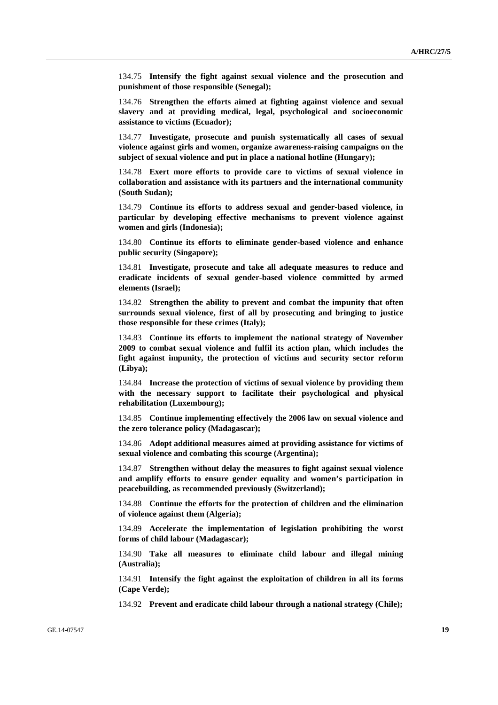134.75 **Intensify the fight against sexual violence and the prosecution and punishment of those responsible (Senegal);** 

134.76 **Strengthen the efforts aimed at fighting against violence and sexual slavery and at providing medical, legal, psychological and socioeconomic assistance to victims (Ecuador);** 

134.77 **Investigate, prosecute and punish systematically all cases of sexual violence against girls and women, organize awareness-raising campaigns on the subject of sexual violence and put in place a national hotline (Hungary);** 

134.78 **Exert more efforts to provide care to victims of sexual violence in collaboration and assistance with its partners and the international community (South Sudan);** 

134.79 **Continue its efforts to address sexual and gender-based violence, in particular by developing effective mechanisms to prevent violence against women and girls (Indonesia);** 

134.80 **Continue its efforts to eliminate gender-based violence and enhance public security (Singapore);** 

134.81 **Investigate, prosecute and take all adequate measures to reduce and eradicate incidents of sexual gender-based violence committed by armed elements (Israel);** 

134.82 **Strengthen the ability to prevent and combat the impunity that often surrounds sexual violence, first of all by prosecuting and bringing to justice those responsible for these crimes (Italy);** 

134.83 **Continue its efforts to implement the national strategy of November 2009 to combat sexual violence and fulfil its action plan, which includes the fight against impunity, the protection of victims and security sector reform (Libya);** 

134.84 **Increase the protection of victims of sexual violence by providing them with the necessary support to facilitate their psychological and physical rehabilitation (Luxembourg);** 

134.85 **Continue implementing effectively the 2006 law on sexual violence and the zero tolerance policy (Madagascar);** 

134.86 **Adopt additional measures aimed at providing assistance for victims of sexual violence and combating this scourge (Argentina);** 

134.87 **Strengthen without delay the measures to fight against sexual violence and amplify efforts to ensure gender equality and women's participation in peacebuilding, as recommended previously (Switzerland);** 

134.88 **Continue the efforts for the protection of children and the elimination of violence against them (Algeria);** 

134.89 **Accelerate the implementation of legislation prohibiting the worst forms of child labour (Madagascar);** 

134.90 **Take all measures to eliminate child labour and illegal mining (Australia);** 

134.91 **Intensify the fight against the exploitation of children in all its forms (Cape Verde);** 

134.92 **Prevent and eradicate child labour through a national strategy (Chile);**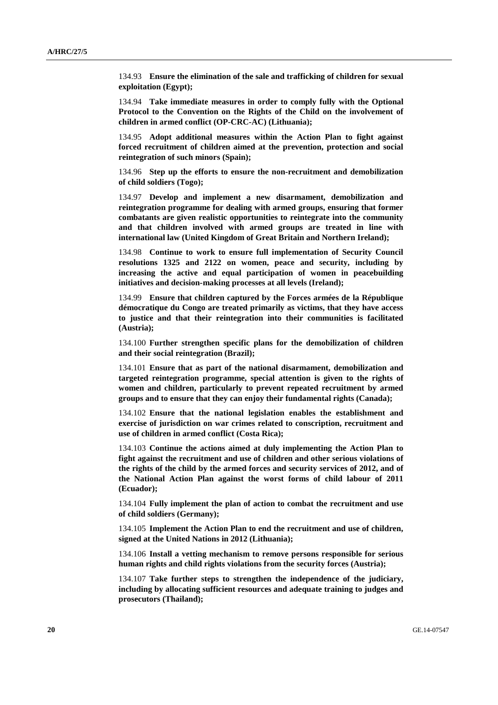134.93 **Ensure the elimination of the sale and trafficking of children for sexual exploitation (Egypt);** 

134.94 **Take immediate measures in order to comply fully with the Optional Protocol to the Convention on the Rights of the Child on the involvement of children in armed conflict (OP-CRC-AC) (Lithuania);** 

134.95 **Adopt additional measures within the Action Plan to fight against forced recruitment of children aimed at the prevention, protection and social reintegration of such minors (Spain);** 

134.96 **Step up the efforts to ensure the non-recruitment and demobilization of child soldiers (Togo);**

134.97 **Develop and implement a new disarmament, demobilization and reintegration programme for dealing with armed groups, ensuring that former combatants are given realistic opportunities to reintegrate into the community and that children involved with armed groups are treated in line with international law (United Kingdom of Great Britain and Northern Ireland);** 

134.98 **Continue to work to ensure full implementation of Security Council resolutions 1325 and 2122 on women, peace and security, including by increasing the active and equal participation of women in peacebuilding initiatives and decision-making processes at all levels (Ireland);** 

134.99 **Ensure that children captured by the Forces armées de la République démocratique du Congo are treated primarily as victims, that they have access to justice and that their reintegration into their communities is facilitated (Austria);** 

134.100 **Further strengthen specific plans for the demobilization of children and their social reintegration (Brazil);** 

134.101 **Ensure that as part of the national disarmament, demobilization and targeted reintegration programme, special attention is given to the rights of women and children, particularly to prevent repeated recruitment by armed groups and to ensure that they can enjoy their fundamental rights (Canada);** 

134.102 **Ensure that the national legislation enables the establishment and exercise of jurisdiction on war crimes related to conscription, recruitment and use of children in armed conflict (Costa Rica);**

134.103 **Continue the actions aimed at duly implementing the Action Plan to fight against the recruitment and use of children and other serious violations of the rights of the child by the armed forces and security services of 2012, and of the National Action Plan against the worst forms of child labour of 2011 (Ecuador);** 

134.104 **Fully implement the plan of action to combat the recruitment and use of child soldiers (Germany);** 

134.105 **Implement the Action Plan to end the recruitment and use of children, signed at the United Nations in 2012 (Lithuania);** 

134.106 **Install a vetting mechanism to remove persons responsible for serious human rights and child rights violations from the security forces (Austria);** 

134.107 **Take further steps to strengthen the independence of the judiciary, including by allocating sufficient resources and adequate training to judges and prosecutors (Thailand);**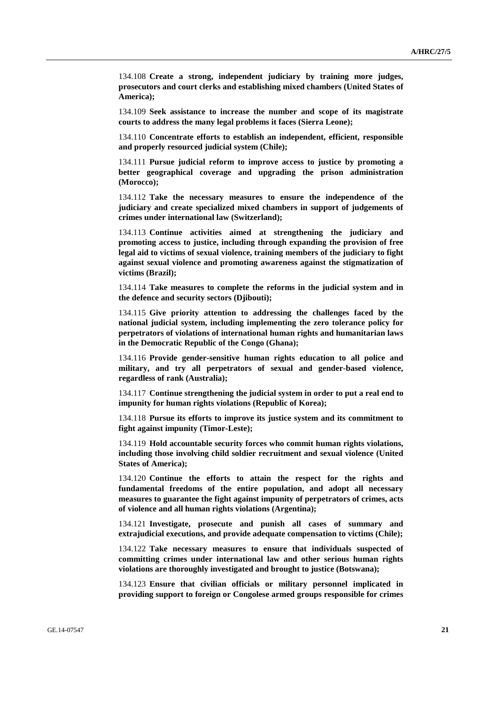134.108 **Create a strong, independent judiciary by training more judges, prosecutors and court clerks and establishing mixed chambers (United States of America);** 

134.109 **Seek assistance to increase the number and scope of its magistrate courts to address the many legal problems it faces (Sierra Leone);** 

134.110 **Concentrate efforts to establish an independent, efficient, responsible and properly resourced judicial system (Chile);** 

134.111 **Pursue judicial reform to improve access to justice by promoting a better geographical coverage and upgrading the prison administration (Morocco);** 

134.112 **Take the necessary measures to ensure the independence of the judiciary and create specialized mixed chambers in support of judgements of crimes under international law (Switzerland);** 

134.113 **Continue activities aimed at strengthening the judiciary and promoting access to justice, including through expanding the provision of free legal aid to victims of sexual violence, training members of the judiciary to fight against sexual violence and promoting awareness against the stigmatization of victims (Brazil);**

134.114 **Take measures to complete the reforms in the judicial system and in the defence and security sectors (Djibouti);** 

134.115 **Give priority attention to addressing the challenges faced by the national judicial system, including implementing the zero tolerance policy for perpetrators of violations of international human rights and humanitarian laws in the Democratic Republic of the Congo (Ghana);** 

134.116 **Provide gender-sensitive human rights education to all police and military, and try all perpetrators of sexual and gender-based violence, regardless of rank (Australia);** 

134.117 **Continue strengthening the judicial system in order to put a real end to impunity for human rights violations (Republic of Korea);** 

134.118 **Pursue its efforts to improve its justice system and its commitment to fight against impunity (Timor-Leste);** 

134.119 **Hold accountable security forces who commit human rights violations, including those involving child soldier recruitment and sexual violence (United States of America);** 

134.120 **Continue the efforts to attain the respect for the rights and fundamental freedoms of the entire population, and adopt all necessary measures to guarantee the fight against impunity of perpetrators of crimes, acts of violence and all human rights violations (Argentina);** 

134.121 **Investigate, prosecute and punish all cases of summary and extrajudicial executions, and provide adequate compensation to victims (Chile);** 

134.122 **Take necessary measures to ensure that individuals suspected of committing crimes under international law and other serious human rights violations are thoroughly investigated and brought to justice (Botswana);** 

134.123 **Ensure that civilian officials or military personnel implicated in providing support to foreign or Congolese armed groups responsible for crimes**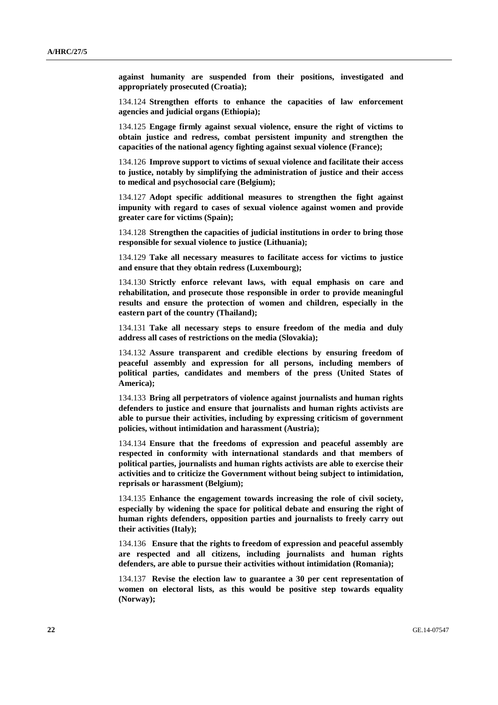**against humanity are suspended from their positions, investigated and appropriately prosecuted (Croatia);** 

134.124 **Strengthen efforts to enhance the capacities of law enforcement agencies and judicial organs (Ethiopia);** 

134.125 **Engage firmly against sexual violence, ensure the right of victims to obtain justice and redress, combat persistent impunity and strengthen the capacities of the national agency fighting against sexual violence (France);** 

134.126 **Improve support to victims of sexual violence and facilitate their access to justice, notably by simplifying the administration of justice and their access to medical and psychosocial care (Belgium);** 

134.127 **Adopt specific additional measures to strengthen the fight against impunity with regard to cases of sexual violence against women and provide greater care for victims (Spain);** 

134.128 **Strengthen the capacities of judicial institutions in order to bring those responsible for sexual violence to justice (Lithuania);** 

134.129 **Take all necessary measures to facilitate access for victims to justice and ensure that they obtain redress (Luxembourg);** 

134.130 **Strictly enforce relevant laws, with equal emphasis on care and rehabilitation, and prosecute those responsible in order to provide meaningful results and ensure the protection of women and children, especially in the eastern part of the country (Thailand);** 

134.131 **Take all necessary steps to ensure freedom of the media and duly address all cases of restrictions on the media (Slovakia);** 

134.132 **Assure transparent and credible elections by ensuring freedom of peaceful assembly and expression for all persons, including members of political parties, candidates and members of the press (United States of America);** 

134.133 **Bring all perpetrators of violence against journalists and human rights defenders to justice and ensure that journalists and human rights activists are able to pursue their activities, including by expressing criticism of government policies, without intimidation and harassment (Austria);** 

134.134 **Ensure that the freedoms of expression and peaceful assembly are respected in conformity with international standards and that members of political parties, journalists and human rights activists are able to exercise their activities and to criticize the Government without being subject to intimidation, reprisals or harassment (Belgium);** 

134.135 **Enhance the engagement towards increasing the role of civil society, especially by widening the space for political debate and ensuring the right of human rights defenders, opposition parties and journalists to freely carry out their activities (Italy);** 

134.136 **Ensure that the rights to freedom of expression and peaceful assembly are respected and all citizens, including journalists and human rights defenders, are able to pursue their activities without intimidation (Romania);** 

134.137 **Revise the election law to guarantee a 30 per cent representation of women on electoral lists, as this would be positive step towards equality (Norway);**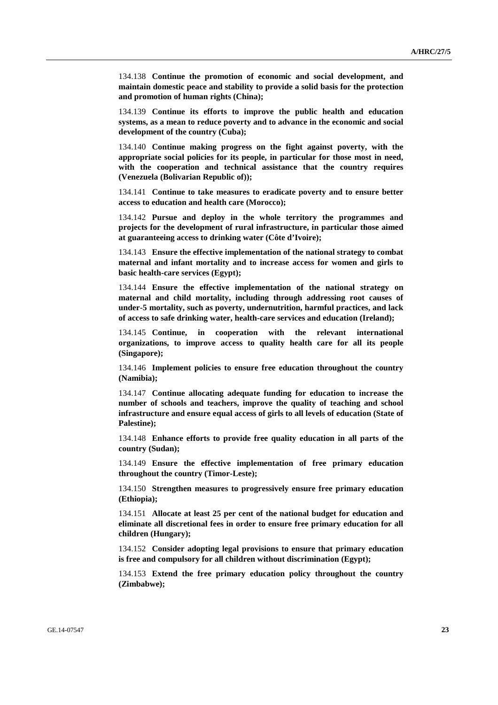134.138 **Continue the promotion of economic and social development, and maintain domestic peace and stability to provide a solid basis for the protection and promotion of human rights (China);** 

134.139 **Continue its efforts to improve the public health and education systems, as a mean to reduce poverty and to advance in the economic and social development of the country (Cuba);** 

134.140 **Continue making progress on the fight against poverty, with the appropriate social policies for its people, in particular for those most in need, with the cooperation and technical assistance that the country requires (Venezuela (Bolivarian Republic of));** 

134.141 **Continue to take measures to eradicate poverty and to ensure better access to education and health care (Morocco);** 

134.142 **Pursue and deploy in the whole territory the programmes and projects for the development of rural infrastructure, in particular those aimed at guaranteeing access to drinking water (Côte d'Ivoire);** 

134.143 **Ensure the effective implementation of the national strategy to combat maternal and infant mortality and to increase access for women and girls to basic health-care services (Egypt);** 

134.144 **Ensure the effective implementation of the national strategy on maternal and child mortality, including through addressing root causes of under-5 mortality, such as poverty, undernutrition, harmful practices, and lack of access to safe drinking water, health-care services and education (Ireland);** 

134.145 **Continue, in cooperation with the relevant international organizations, to improve access to quality health care for all its people (Singapore);** 

134.146 **Implement policies to ensure free education throughout the country (Namibia);** 

134.147 **Continue allocating adequate funding for education to increase the number of schools and teachers, improve the quality of teaching and school infrastructure and ensure equal access of girls to all levels of education (State of Palestine);** 

134.148 **Enhance efforts to provide free quality education in all parts of the country (Sudan);** 

134.149 **Ensure the effective implementation of free primary education throughout the country (Timor-Leste);** 

134.150 **Strengthen measures to progressively ensure free primary education (Ethiopia);** 

134.151 **Allocate at least 25 per cent of the national budget for education and eliminate all discretional fees in order to ensure free primary education for all children (Hungary);** 

134.152 **Consider adopting legal provisions to ensure that primary education is free and compulsory for all children without discrimination (Egypt);** 

134.153 **Extend the free primary education policy throughout the country (Zimbabwe);**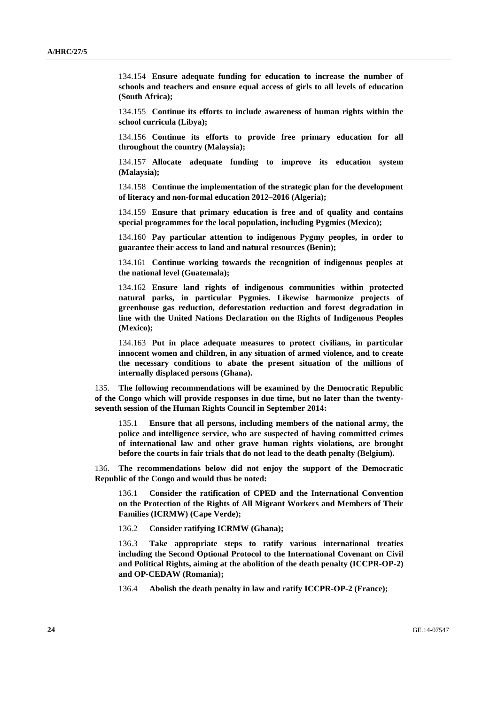134.154 **Ensure adequate funding for education to increase the number of schools and teachers and ensure equal access of girls to all levels of education (South Africa);**

134.155 **Continue its efforts to include awareness of human rights within the school curricula (Libya);** 

134.156 **Continue its efforts to provide free primary education for all throughout the country (Malaysia);** 

134.157 **Allocate adequate funding to improve its education system (Malaysia);**

134.158 **Continue the implementation of the strategic plan for the development of literacy and non-formal education 2012–2016 (Algeria);** 

134.159 **Ensure that primary education is free and of quality and contains special programmes for the local population, including Pygmies (Mexico);** 

134.160 **Pay particular attention to indigenous Pygmy peoples, in order to guarantee their access to land and natural resources (Benin);** 

134.161 **Continue working towards the recognition of indigenous peoples at the national level (Guatemala);** 

134.162 **Ensure land rights of indigenous communities within protected natural parks, in particular Pygmies. Likewise harmonize projects of greenhouse gas reduction, deforestation reduction and forest degradation in line with the United Nations Declaration on the Rights of Indigenous Peoples (Mexico);** 

134.163 **Put in place adequate measures to protect civilians, in particular innocent women and children, in any situation of armed violence, and to create the necessary conditions to abate the present situation of the millions of internally displaced persons (Ghana).** 

135. **The following recommendations will be examined by the Democratic Republic of the Congo which will provide responses in due time, but no later than the twentyseventh session of the Human Rights Council in September 2014:** 

135.1 **Ensure that all persons, including members of the national army, the police and intelligence service, who are suspected of having committed crimes of international law and other grave human rights violations, are brought before the courts in fair trials that do not lead to the death penalty (Belgium).** 

136. **The recommendations below did not enjoy the support of the Democratic Republic of the Congo and would thus be noted:** 

136.1 **Consider the ratification of CPED and the International Convention on the Protection of the Rights of All Migrant Workers and Members of Their Families (ICRMW) (Cape Verde);** 

136.2 **Consider ratifying ICRMW (Ghana);** 

136.3 **Take appropriate steps to ratify various international treaties including the Second Optional Protocol to the International Covenant on Civil and Political Rights, aiming at the abolition of the death penalty (ICCPR-OP-2) and OP-CEDAW (Romania);** 

136.4 **Abolish the death penalty in law and ratify ICCPR-OP-2 (France);**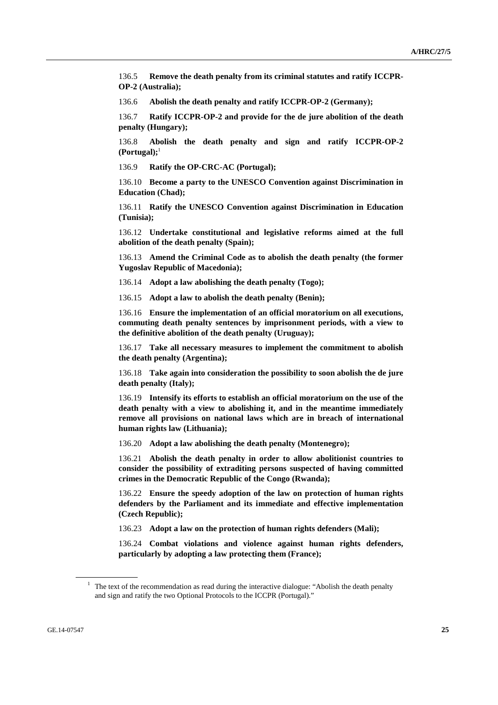136.5 **Remove the death penalty from its criminal statutes and ratify ICCPR-OP-2 (Australia);** 

136.6 **Abolish the death penalty and ratify ICCPR-OP-2 (Germany);** 

136.7 **Ratify ICCPR-OP-2 and provide for the de jure abolition of the death penalty (Hungary);** 

136.8 **Abolish the death penalty and sign and ratify ICCPR-OP-2 (Portugal);**<sup>1</sup>

136.9 **Ratify the OP-CRC-AC (Portugal);** 

136.10 **Become a party to the UNESCO Convention against Discrimination in Education (Chad);** 

136.11 **Ratify the UNESCO Convention against Discrimination in Education (Tunisia);** 

136.12 **Undertake constitutional and legislative reforms aimed at the full abolition of the death penalty (Spain);** 

136.13 **Amend the Criminal Code as to abolish the death penalty (the former Yugoslav Republic of Macedonia);** 

136.14 **Adopt a law abolishing the death penalty (Togo);** 

136.15 **Adopt a law to abolish the death penalty (Benin);** 

136.16 **Ensure the implementation of an official moratorium on all executions, commuting death penalty sentences by imprisonment periods, with a view to the definitive abolition of the death penalty (Uruguay);** 

136.17 **Take all necessary measures to implement the commitment to abolish the death penalty (Argentina);** 

136.18 **Take again into consideration the possibility to soon abolish the de jure death penalty (Italy);** 

136.19 **Intensify its efforts to establish an official moratorium on the use of the death penalty with a view to abolishing it, and in the meantime immediately remove all provisions on national laws which are in breach of international human rights law (Lithuania);**

136.20 **Adopt a law abolishing the death penalty (Montenegro);** 

136.21 **Abolish the death penalty in order to allow abolitionist countries to consider the possibility of extraditing persons suspected of having committed crimes in the Democratic Republic of the Congo (Rwanda);** 

136.22 **Ensure the speedy adoption of the law on protection of human rights defenders by the Parliament and its immediate and effective implementation (Czech Republic);** 

136.23 **Adopt a law on the protection of human rights defenders (Mali);** 

136.24 **Combat violations and violence against human rights defenders, particularly by adopting a law protecting them (France);** 

<sup>&</sup>lt;sup>1</sup> The text of the recommendation as read during the interactive dialogue: "Abolish the death penalty and sign and ratify the two Optional Protocols to the ICCPR (Portugal)."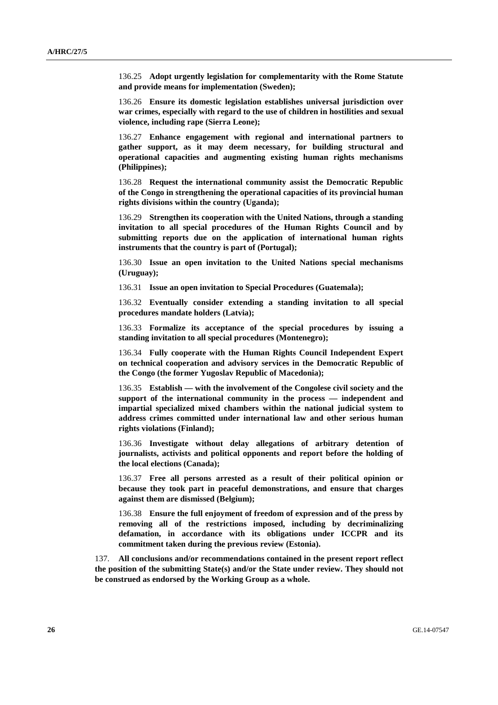136.25 **Adopt urgently legislation for complementarity with the Rome Statute and provide means for implementation (Sweden);** 

136.26 **Ensure its domestic legislation establishes universal jurisdiction over war crimes, especially with regard to the use of children in hostilities and sexual violence, including rape (Sierra Leone);** 

136.27 **Enhance engagement with regional and international partners to gather support, as it may deem necessary, for building structural and operational capacities and augmenting existing human rights mechanisms (Philippines);**

136.28 **Request the international community assist the Democratic Republic of the Congo in strengthening the operational capacities of its provincial human rights divisions within the country (Uganda);** 

136.29 **Strengthen its cooperation with the United Nations, through a standing invitation to all special procedures of the Human Rights Council and by submitting reports due on the application of international human rights instruments that the country is part of (Portugal);** 

136.30 **Issue an open invitation to the United Nations special mechanisms (Uruguay);** 

136.31 **Issue an open invitation to Special Procedures (Guatemala);** 

136.32 **Eventually consider extending a standing invitation to all special procedures mandate holders (Latvia);** 

136.33 **Formalize its acceptance of the special procedures by issuing a standing invitation to all special procedures (Montenegro);** 

136.34 **Fully cooperate with the Human Rights Council Independent Expert on technical cooperation and advisory services in the Democratic Republic of the Congo (the former Yugoslav Republic of Macedonia);** 

136.35 **Establish — with the involvement of the Congolese civil society and the support of the international community in the process — independent and impartial specialized mixed chambers within the national judicial system to address crimes committed under international law and other serious human rights violations (Finland);** 

136.36 **Investigate without delay allegations of arbitrary detention of journalists, activists and political opponents and report before the holding of the local elections (Canada);** 

136.37 **Free all persons arrested as a result of their political opinion or because they took part in peaceful demonstrations, and ensure that charges against them are dismissed (Belgium);** 

136.38 **Ensure the full enjoyment of freedom of expression and of the press by removing all of the restrictions imposed, including by decriminalizing defamation, in accordance with its obligations under ICCPR and its commitment taken during the previous review (Estonia).** 

137. **All conclusions and/or recommendations contained in the present report reflect the position of the submitting State(s) and/or the State under review. They should not be construed as endorsed by the Working Group as a whole.**